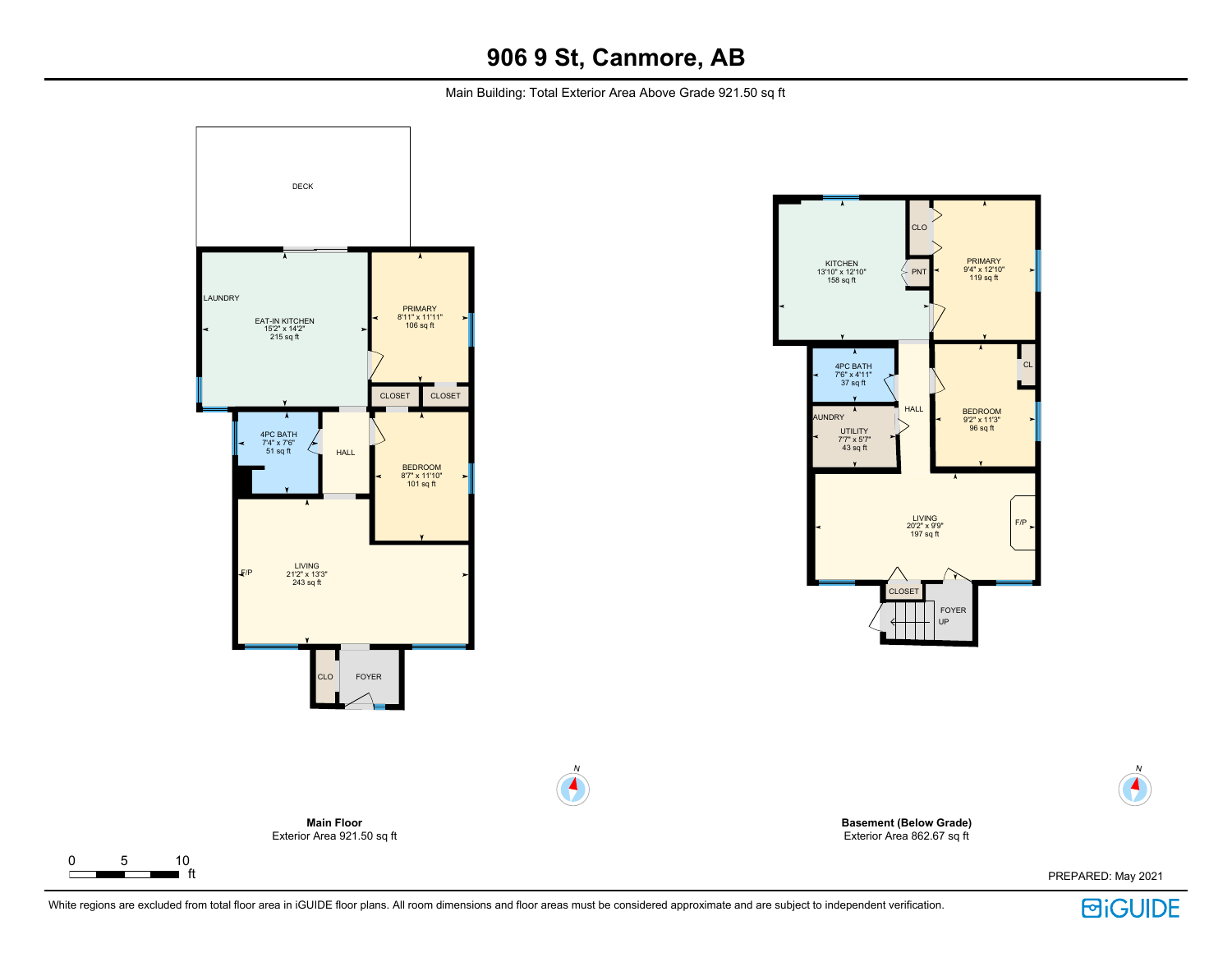Main Building: Total Exterior Area Above Grade 921.50 sq ft





N

 $\blacktriangle$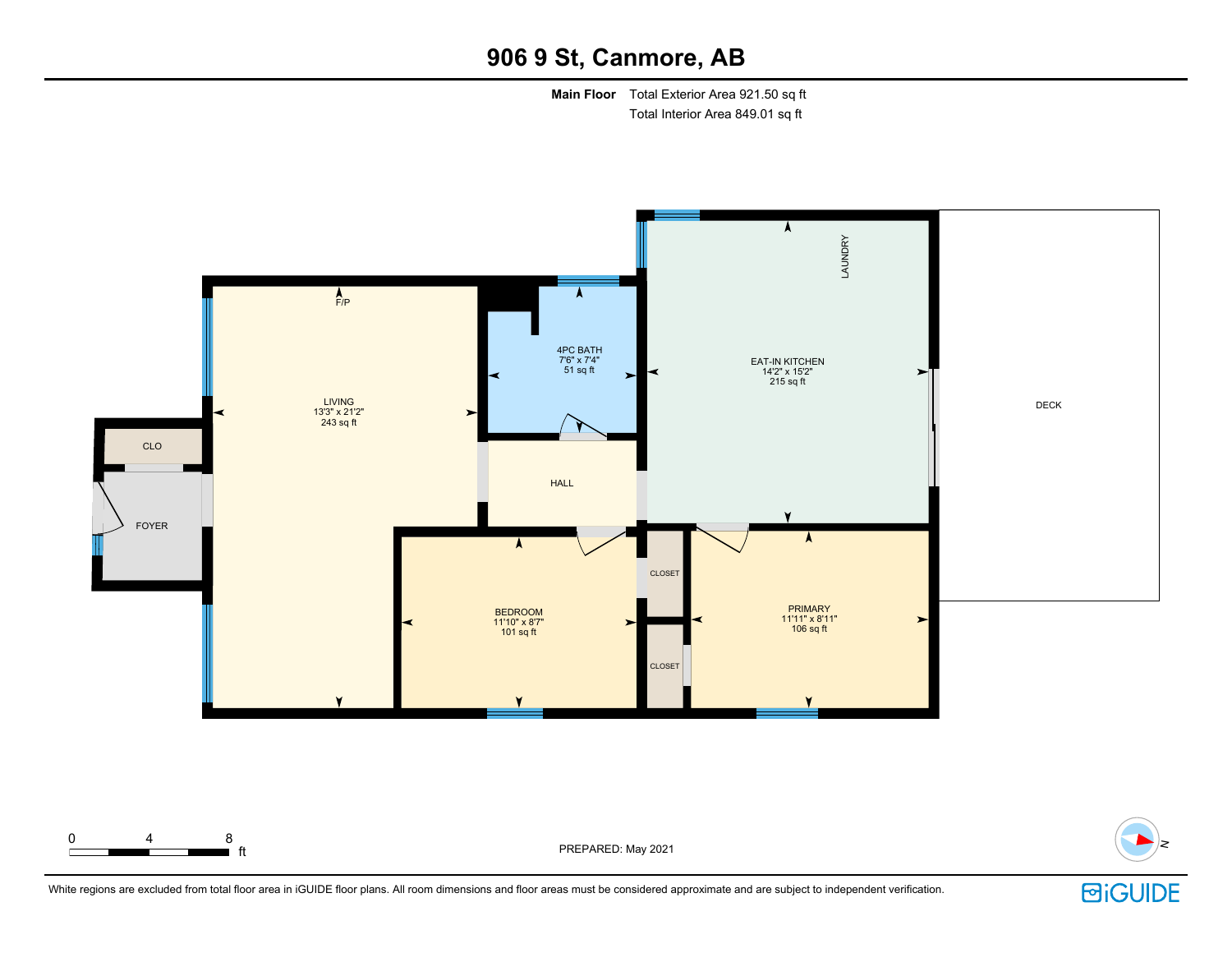**Main Floor** Total Exterior Area 921.50 sq ft Total Interior Area 849.01 sq ft





■ ft PREPARED: May 2021



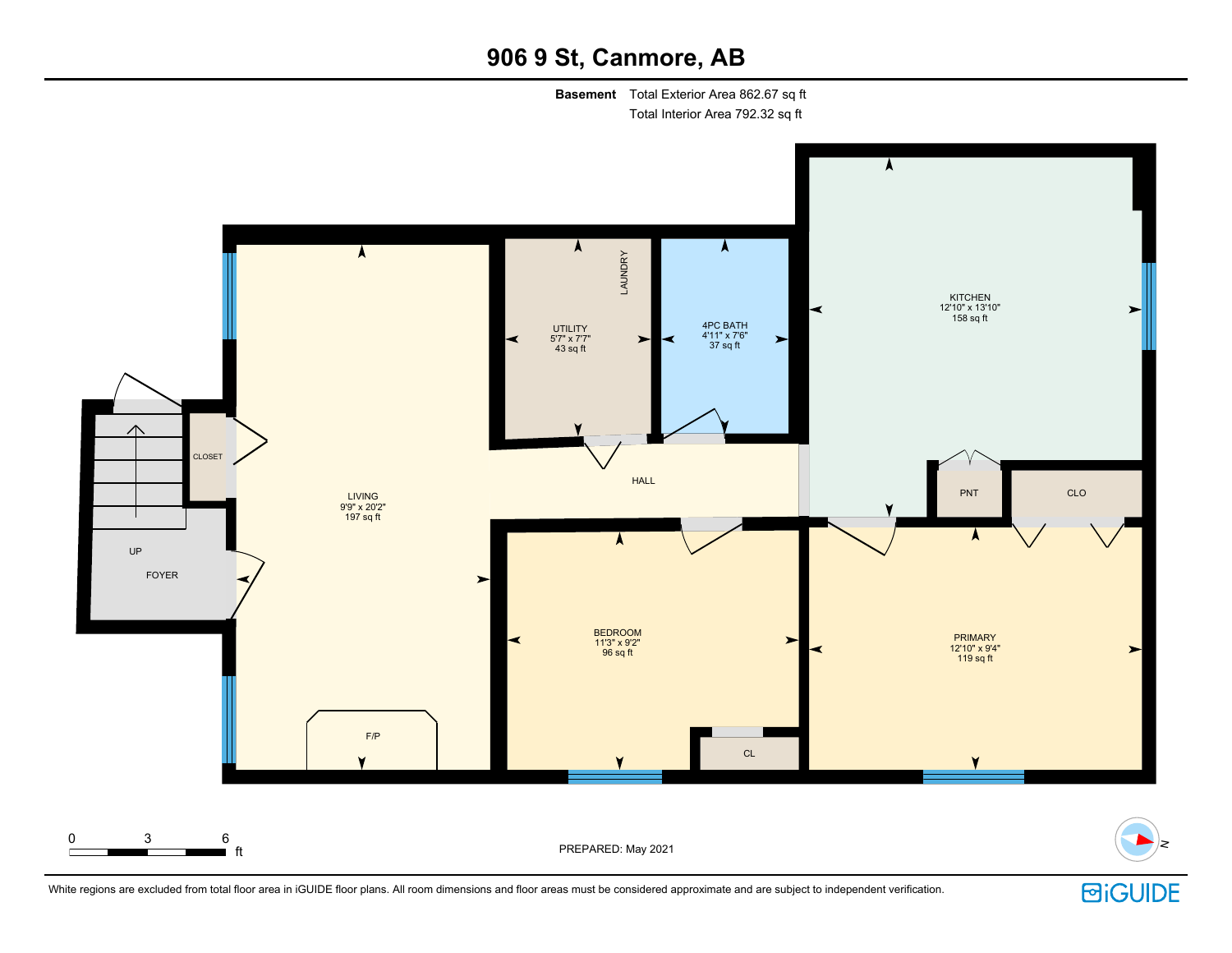**Basement** Total Exterior Area 862.67 sq ft Total Interior Area 792.32 sq ft



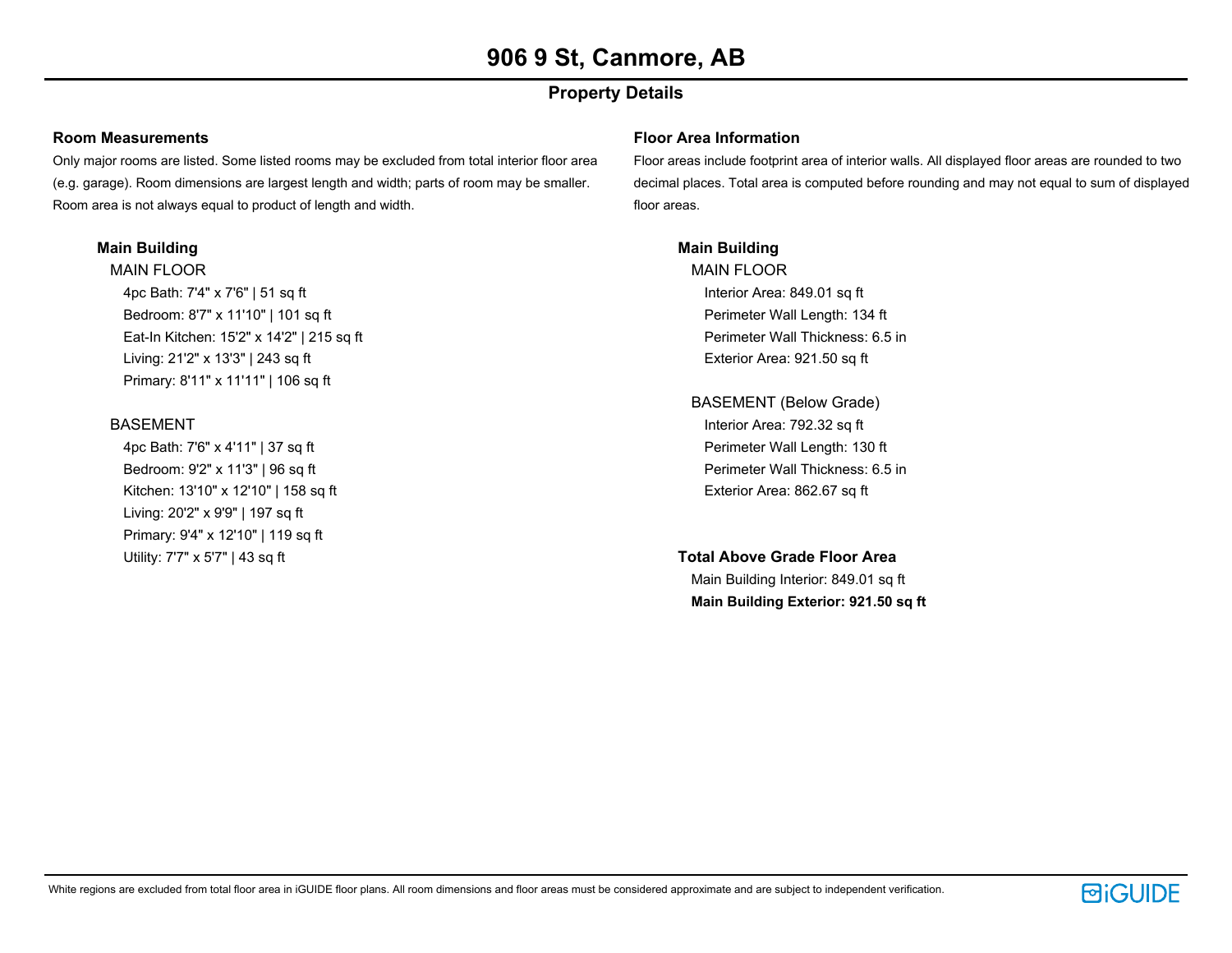### **Property Details**

#### **Room Measurements**

Only major rooms are listed. Some listed rooms may be excluded from total interior floor area (e.g. garage). Room dimensions are largest length and width; parts of room may be smaller. Room area is not always equal to product of length and width.

#### **Main Building**

MAIN FLOOR 4pc Bath: 7'4" x 7'6" | 51 sq ft Bedroom: 8'7" x 11'10" | 101 sq ft Eat-In Kitchen: 15'2" x 14'2" | 215 sq ft Living: 21'2" x 13'3" | 243 sq ft Primary: 8'11" x 11'11" | 106 sq ft

#### BASEMENT

4pc Bath: 7'6" x 4'11" | 37 sq ft Bedroom: 9'2" x 11'3" | 96 sq ft Kitchen: 13'10" x 12'10" | 158 sq ft Living: 20'2" x 9'9" | 197 sq ft Primary: 9'4" x 12'10" | 119 sq ft Utility: 7'7" x 5'7" | 43 sq ft

#### **Floor Area Information**

Floor areas include footprint area of interior walls. All displayed floor areas are rounded to two decimal places. Total area is computed before rounding and may not equal to sum of displayed floor areas.

#### **Main Building**

MAIN FLOOR Interior Area: 849.01 sq ft Perimeter Wall Length: 134 ft Perimeter Wall Thickness: 6.5 in Exterior Area: 921.50 sq ft

BASEMENT (Below Grade) Interior Area: 792.32 sq ft Perimeter Wall Length: 130 ft Perimeter Wall Thickness: 6.5 in Exterior Area: 862.67 sq ft

#### **Total Above Grade Floor Area**

Main Building Interior: 849.01 sq ft **Main Building Exterior: 921.50 sq ft**

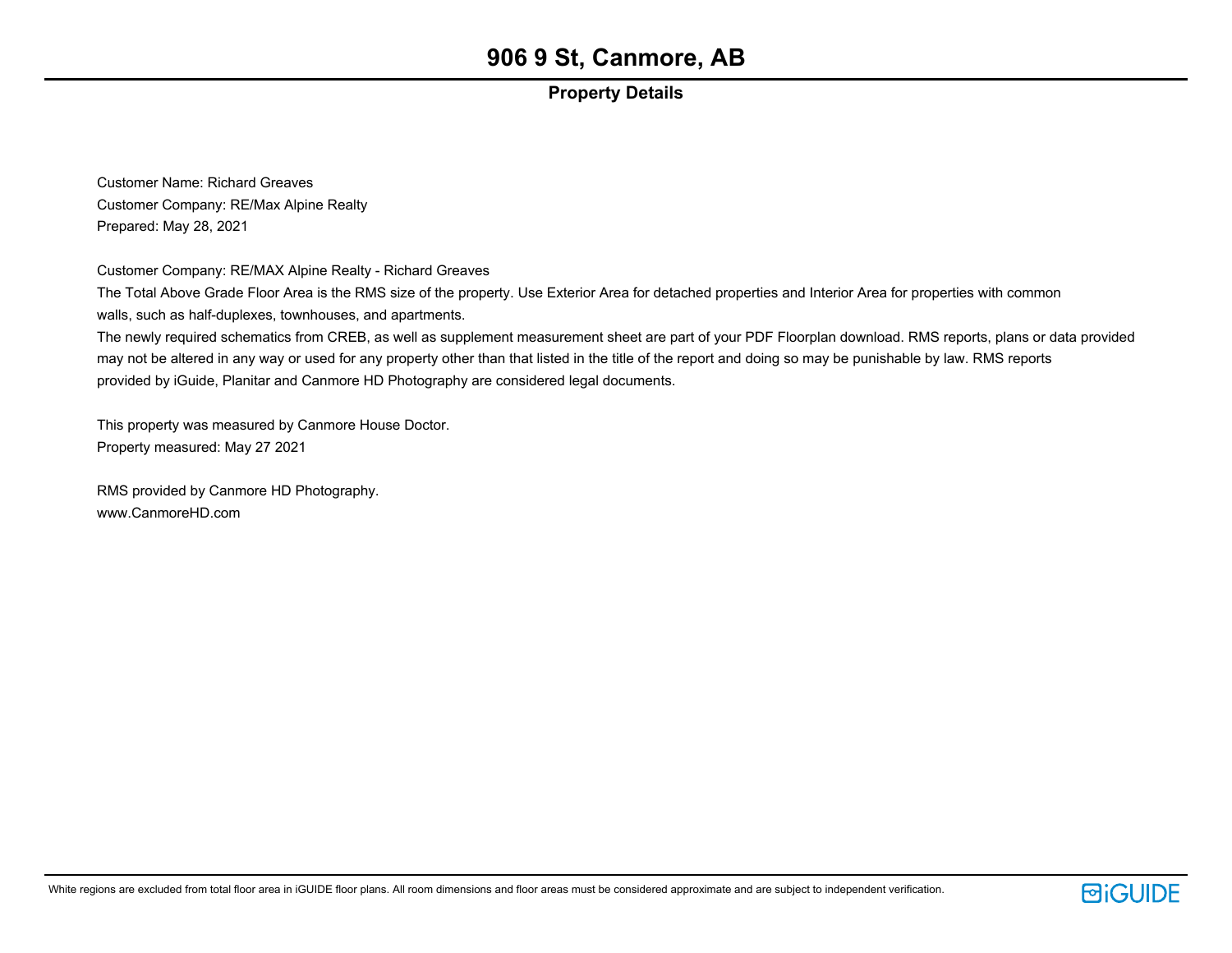### **Property Details**

Customer Name: Richard Greaves Customer Company: RE/Max Alpine Realty Prepared: May 28, 2021

Customer Company: RE/MAX Alpine Realty - Richard Greaves

The Total Above Grade Floor Area is the RMS size of the property. Use Exterior Area for detached properties and Interior Area for properties with common walls, such as half-duplexes, townhouses, and apartments.

The newly required schematics from CREB, as well as supplement measurement sheet are part of your PDF Floorplan download. RMS reports, plans or data provided may not be altered in any way or used for any property other than that listed in the title of the report and doing so may be punishable by law. RMS reports provided by iGuide, Planitar and Canmore HD Photography are considered legal documents.

This property was measured by Canmore House Doctor. Property measured: May 27 2021

RMS provided by Canmore HD Photography. www.CanmoreHD.com

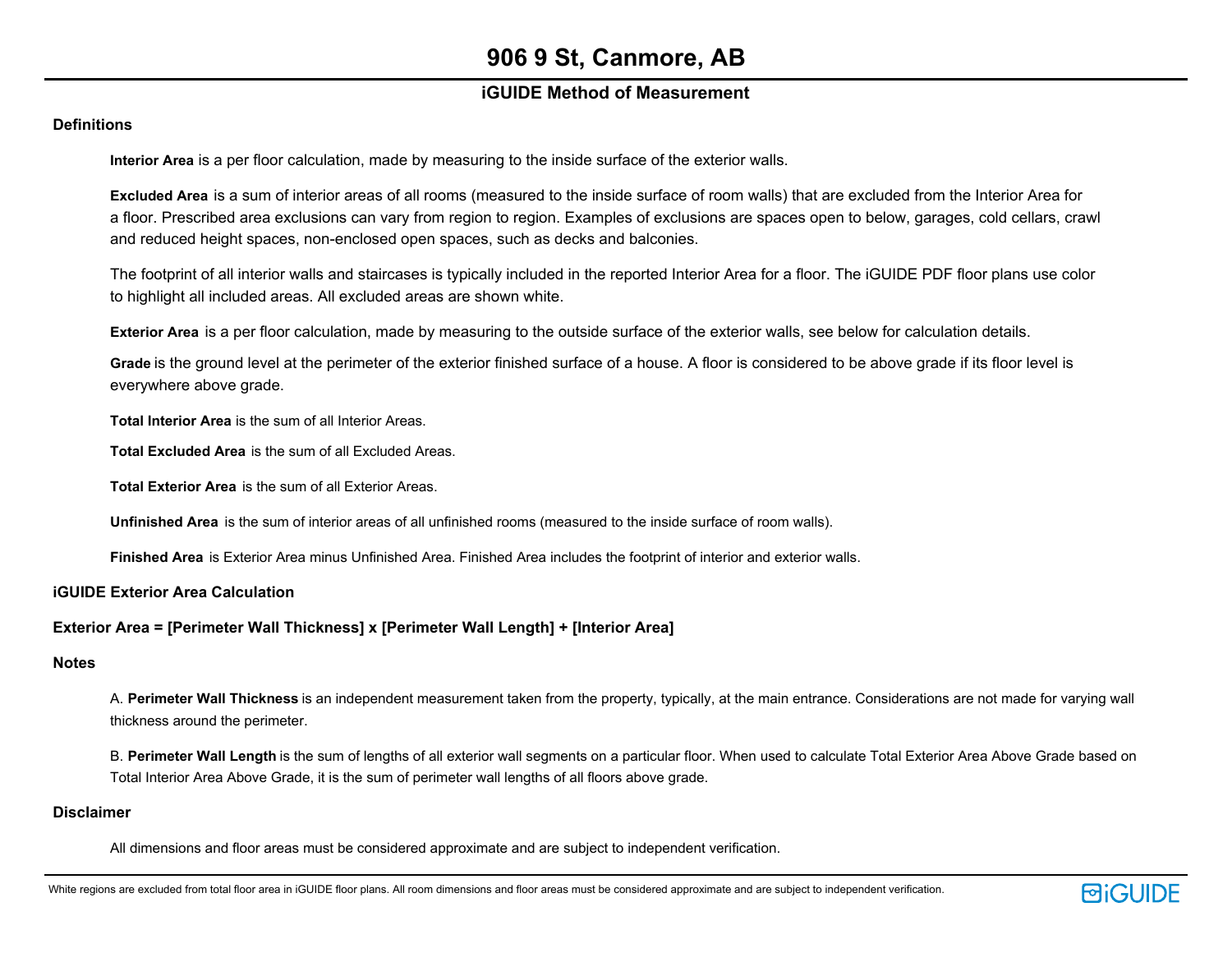### **iGUIDE Method of Measurement**

#### **Definitions**

**Interior Area** is a per floor calculation, made by measuring to the inside surface of the exterior walls.

**Excluded Area** is a sum of interior areas of all rooms (measured to the inside surface of room walls) that are excluded from the Interior Area for a floor. Prescribed area exclusions can vary from region to region. Examples of exclusions are spaces open to below, garages, cold cellars, crawl and reduced height spaces, non-enclosed open spaces, such as decks and balconies.

The footprint of all interior walls and staircases is typically included in the reported Interior Area for a floor. The iGUIDE PDF floor plans use color to highlight all included areas. All excluded areas are shown white.

**Exterior Area** is a per floor calculation, made by measuring to the outside surface of the exterior walls, see below for calculation details.

**Grade** is the ground level at the perimeter of the exterior finished surface of a house. A floor is considered to be above grade if its floor level is everywhere above grade.

**Total Interior Area** is the sum of all Interior Areas.

**Total Excluded Area** is the sum of all Excluded Areas.

**Total Exterior Area** is the sum of all Exterior Areas.

**Unfinished Area** is the sum of interior areas of all unfinished rooms (measured to the inside surface of room walls).

**Finished Area** is Exterior Area minus Unfinished Area. Finished Area includes the footprint of interior and exterior walls.

**iGUIDE Exterior Area Calculation**

#### **Exterior Area = [Perimeter Wall Thickness] x [Perimeter Wall Length] + [Interior Area]**

#### **Notes**

A. **Perimeter Wall Thickness** is an independent measurement taken from the property, typically, at the main entrance. Considerations are not made for varying wall thickness around the perimeter.

B. **Perimeter Wall Length** is the sum of lengths of all exterior wall segments on a particular floor. When used to calculate Total Exterior Area Above Grade based on Total Interior Area Above Grade, it is the sum of perimeter wall lengths of all floors above grade.

#### **Disclaimer**

All dimensions and floor areas must be considered approximate and are subject to independent verification.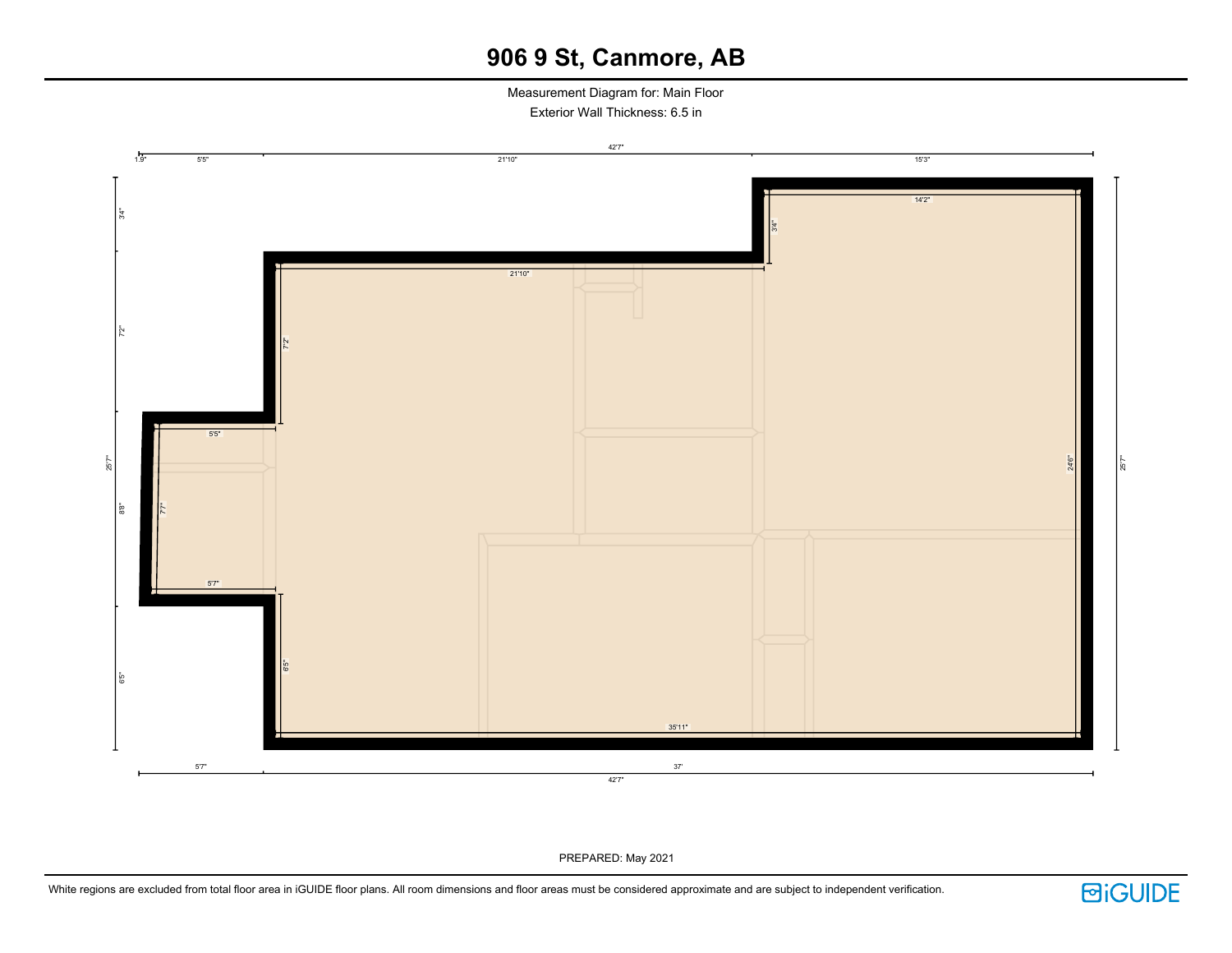Measurement Diagram for: Main Floor Exterior Wall Thickness: 6.5 in



PREPARED: May 2021